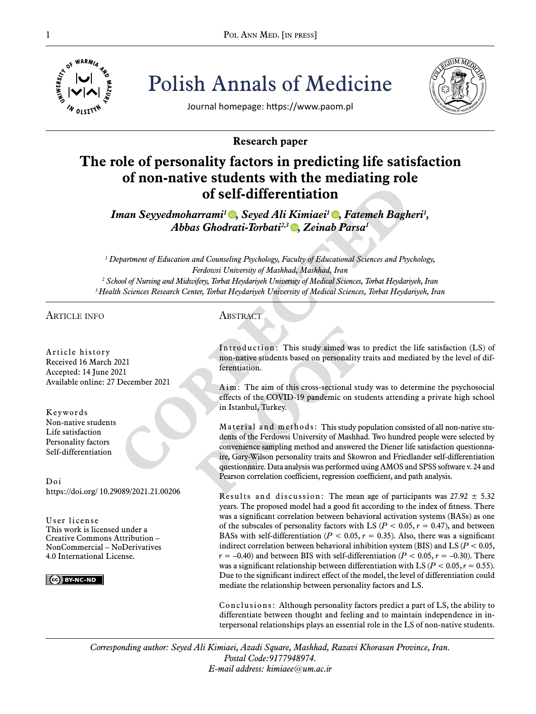

Polish Annals of Medicine



Journal homepage: https://www.paom.pl

# **Research paper**

# **The role of personality factors in predicting life satisfaction of non-native students with the mediating role of self-differentiation**

*Iman Seyyedmoharrami[1 ,](https://orcid.org/0000-0002-1358-4899) Seyed Ali Kimiaei1 [,](https://orcid.org/0000-0003-1982-5902) Fatemeh Bagheri1 , Abbas Ghodrati-Torbati<sup>2,3</sup> D, Zeinab Parsa<sup>1</sup>* 

*1 Department of Education and Counseling Psychology, Faculty of Educational Sciences and Psychology, Ferdowsi University of Mashhad, Mashhad, Iran 2 School of Nursing and Midwifery, Torbat Heydariyeh University of Medical Sciences, Torbat Heydariyeh, Iran 3 Health Sciences Research Center, Torbat Heydariyeh University of Medical Sciences, Torbat Heydariyeh, Iran*

article info

Article history Received 16 March 2021 Accepted: 14 June 2021 Available online: 27 December 2021

Keywords Non-native students Life satisfaction Personality factors Self-differentiation

Doi https://doi.org/ 10.29089/2021.21.00206

User license This work is licensed under a Creative Commons Attribution – NonCommercial – NoDerivatives 4.0 International License.

 $\left| \right|$   $\left| \right|$   $\left| \right|$   $\left| \right|$   $\left| \right|$   $\left| \right|$   $\left| \right|$   $\left| \right|$   $\left| \right|$   $\left| \right|$   $\left| \right|$   $\left| \right|$   $\left| \right|$   $\left| \right|$   $\left| \right|$   $\left| \right|$   $\left| \right|$   $\left| \right|$   $\left| \right|$   $\left| \right|$   $\left| \right|$   $\left| \right|$   $\left| \right|$   $\left| \right|$   $\left| \$ 

# **ABSTRACT**

Introduction: This study aimed was to predict the life satisfaction (LS) of non-native students based on personality traits and mediated by the level of differentiation.

Aim: The aim of this cross-sectional study was to determine the psychosocial effects of the COVID-19 pandemic on students attending a private high school in Istanbul, Turkey.

Material and methods: This study population consisted of all non-native students of the Ferdowsi University of Mashhad. Two hundred people were selected by convenience sampling method and answered the Diener life satisfaction questionnaire, Gary-Wilson personality traits and Skowron and Friedlander self-differentiation questionnaire. Data analysis was performed using AMOS and SPSS software v. 24 and Pearson correlation coefficient, regression coefficient, and path analysis.

Results and discussion: The mean age of participants was  $27.92 \pm 5.32$ years. The proposed model had a good fit according to the index of fitness. There was a significant correlation between behavioral activation systems (BASs) as one of the subscales of personality factors with LS ( $P < 0.05$ ,  $r = 0.47$ ), and between BASs with self-differentiation ( $P < 0.05$ ,  $r = 0.35$ ). Also, there was a significant indirect correlation between behavioral inhibition system (BIS) and LS (*P* < 0.05,  $r = -0.40$ ) and between BIS with self-differentiation ( $P < 0.05$ ,  $r = -0.30$ ). There was a significant relationship between differentiation with LS ( $P < 0.05$ ,  $r = 0.55$ ). Due to the significant indirect effect of the model, the level of differentiation could mediate the relationship between personality factors and LS.

Conclusions: Although personality factors predict a part of LS, the ability to differentiate between thought and feeling and to maintain independence in interpersonal relationships plays an essential role in the LS of non-native students.

*Corresponding author: Seyed Ali Kimiaei, Azadi Square, Mashhad, Razavi Khorasan Province, Iran. Postal Code:9177948974. E-mail address: kimiaee@um.ac.ir*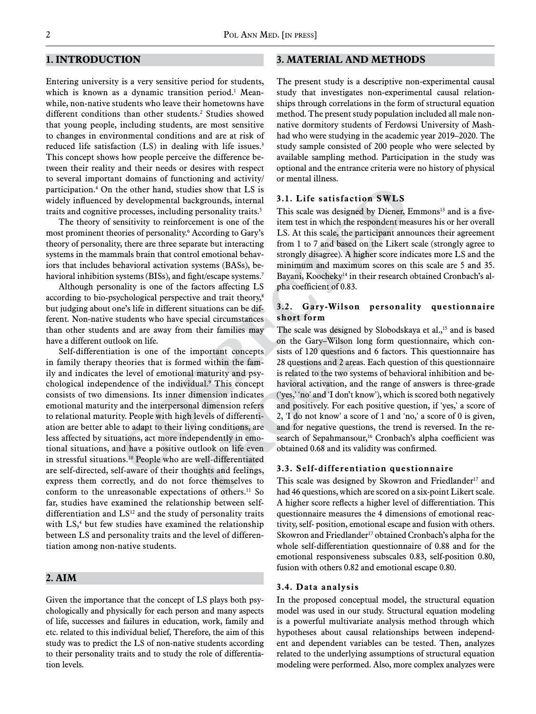# **1. Introduction**

Entering university is a very sensitive period for students, which is known as a dynamic transition period. $^1$  Meanwhile, non-native students who leave their hometowns have different conditions than other students.<sup>2</sup> Studies showed that young people, including students, are most sensitive to changes in environmental conditions and are at risk of reduced life satisfaction (LS) in dealing with life issues.<sup>3</sup> This concept shows how people perceive the difference between their reality and their needs or desires with respect to several important domains of functioning and activity/ participation.4 On the other hand, studies show that LS is widely influenced by developmental backgrounds, internal traits and cognitive processes, including personality traits.<sup>5</sup>

The theory of sensitivity to reinforcement is one of the most prominent theories of personality.6 According to Gary's theory of personality, there are three separate but interacting systems in the mammals brain that control emotional behaviors that includes behavioral activation systems (BASs), behavioral inhibition systems (BISs), and fight/escape systems.<sup>7</sup>

Although personality is one of the factors affecting LS according to bio-psychological perspective and trait theory,<sup>8</sup> but judging about one's life in different situations can be different. Non-native students who have special circumstances than other students and are away from their families may have a different outlook on life.

Self-differentiation is one of the important concepts in family therapy theories that is formed within the family and indicates the level of emotional maturity and psychological independence of the individual.9 This concept consists of two dimensions. Its inner dimension indicates emotional maturity and the interpersonal dimension refers to relational maturity. People with high levels of differentiation are better able to adapt to their living conditions, are less affected by situations, act more independently in emotional situations, and have a positive outlook on life even in stressful situations.10 People who are well-differentiated are self-directed, self-aware of their thoughts and feelings, express them correctly, and do not force themselves to conform to the unreasonable expectations of others.<sup>11</sup> So far, studies have examined the relationship between selfdifferentiation and  $LS<sup>12</sup>$  and the study of personality traits with LS,<sup>4</sup> but few studies have examined the relationship between LS and personality traits and the level of differentiation among non-native students.

# **2. Aim**

Given the importance that the concept of LS plays both psychologically and physically for each person and many aspects of life, successes and failures in education, work, family and etc. related to this individual belief, Therefore, the aim of this study was to predict the LS of non-native students according to their personality traits and to study the role of differentiation levels.

## **3. material and METHODS**

The present study is a descriptive non-experimental causal study that investigates non-experimental causal relationships through correlations in the form of structural equation method. The present study population included all male nonnative dormitory students of Ferdowsi University of Mashhad who were studying in the academic year 2019–2020. The study sample consisted of 200 people who were selected by available sampling method. Participation in the study was optional and the entrance criteria were no history of physical or mental illness.

### **3.1. Life satisfaction SWLS**

This scale was designed by Diener, Emmons<sup>13</sup> and is a fiveitem test in which the respondent measures his or her overall LS. At this scale, the participant announces their agreement from 1 to 7 and based on the Likert scale (strongly agree to strongly disagree). A higher score indicates more LS and the minimum and maximum scores on this scale are 5 and 35. Bayani, Koocheky<sup>14</sup> in their research obtained Cronbach's alpha coefficient of 0.83.

## **3.2. Gary-Wilson personality questionnaire short form**

The scale was designed by Slobodskaya et al.,<sup>15</sup> and is based on the Gary–Wilson long form questionnaire, which consists of 120 questions and 6 factors. This questionnaire has 28 questions and 2 areas. Each question of this questionnaire is related to the two systems of behavioral inhibition and behavioral activation, and the range of answers is three-grade ('yes,' 'no' and 'I don't know'), which is scored both negatively and positively. For each positive question, if 'yes,' a score of 2, 'I do not know' a score of 1 and 'no,' a score of 0 is given, and for negative questions, the trend is reversed. In the research of Sepahmansour,<sup>16</sup> Cronbach's alpha coefficient was obtained 0.68 and its validity was confirmed.

#### **3.3. Self-differentiation questionnaire**

This scale was designed by Skowron and Friedlander<sup>17</sup> and had 46 questions, which are scored on a six-point Likert scale. A higher score reflects a higher level of differentiation. This questionnaire measures the 4 dimensions of emotional reactivity, self- position, emotional escape and fusion with others. Skowron and Friedlander<sup>17</sup> obtained Cronbach's alpha for the whole self-differentiation questionnaire of 0.88 and for the emotional responsiveness subscales 0.83, self-position 0.80, fusion with others 0.82 and emotional escape 0.80.

#### **3.4. Data analysis**

In the proposed conceptual model, the structural equation model was used in our study. Structural equation modeling is a powerful multivariate analysis method through which hypotheses about causal relationships between independent and dependent variables can be tested. Then, analyzes related to the underlying assumptions of structural equation modeling were performed. Also, more complex analyzes were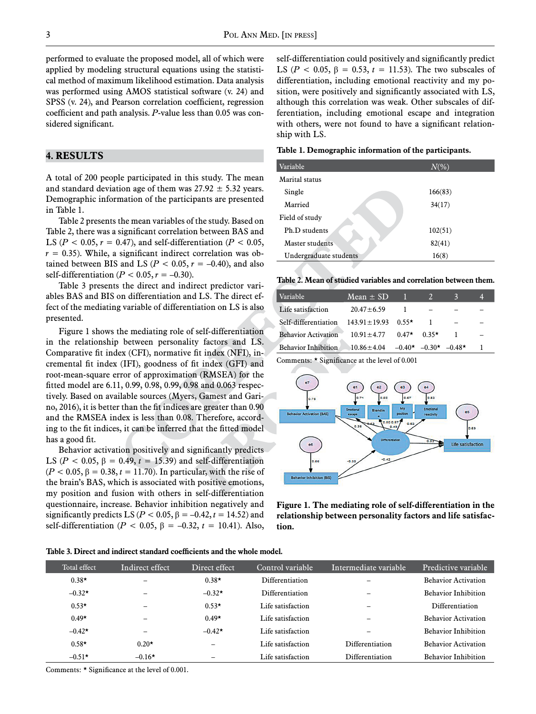performed to evaluate the proposed model, all of which were applied by modeling structural equations using the statistical method of maximum likelihood estimation. Data analysis was performed using AMOS statistical software (v. 24) and SPSS (v. 24), and Pearson correlation coefficient, regression coefficient and path analysis. *P*-value less than 0.05 was considered significant.

#### **4. RESULTS**

A total of 200 people participated in this study. The mean and standard deviation age of them was  $27.92 \pm 5.32$  years. Demographic information of the participants are presented in Table 1.

Table 2 presents the mean variables of the study. Based on Table 2, there was a significant correlation between BAS and LS ( $P < 0.05$ ,  $r = 0.47$ ), and self-differentiation ( $P < 0.05$ ,  $r = 0.35$ ). While, a significant indirect correlation was obtained between BIS and LS ( $P < 0.05$ ,  $r = -0.40$ ), and also self-differentiation ( $P < 0.05$ ,  $r = -0.30$ ).

Table 3 presents the direct and indirect predictor variables BAS and BIS on differentiation and LS. The direct effect of the mediating variable of differentiation on LS is also presented.

Figure 1 shows the mediating role of self-differentiation in the relationship between personality factors and LS. Comparative fit index (CFI), normative fit index (NFI), incremental fit index (IFI), goodness of fit index (GFI) and root-mean-square error of approximation (RMSEA) for the fitted model are 6.11, 0.99, 0.98, 0.99, 0.98 and 0.063 respectively. Based on available sources (Myers, Gamest and Garino, 2016), it is better than the fit indices are greater than 0.90 and the RMSEA index is less than 0.08. Therefore, according to the fit indices, it can be inferred that the fitted model has a good fit.

Behavior activation positively and significantly predicts LS ( $P < 0.05$ ,  $\beta = 0.49$ ,  $t = 15.39$ ) and self-differentiation  $(P < 0.05, \beta = 0.38, t = 11.70)$ . In particular, with the rise of the brain's BAS, which is associated with positive emotions, my position and fusion with others in self-differentiation questionnaire, increase. Behavior inhibition negatively and significantly predicts LS ( $P < 0.05$ ,  $\beta = -0.42$ ,  $t = 14.52$ ) and self-differentiation (*P* < 0.05, β = –0.32, *t* = 10.41). Also,

self-differentiation could positively and significantly predict LS ( $P < 0.05$ ,  $\beta = 0.53$ ,  $t = 11.53$ ). The two subscales of differentiation, including emotional reactivity and my position, were positively and significantly associated with LS, although this correlation was weak. Other subscales of differentiation, including emotional escape and integration with others, were not found to have a significant relationship with LS.

| Table 1. Demographic information of the participants. |  |  |  |
|-------------------------------------------------------|--|--|--|
|-------------------------------------------------------|--|--|--|

| Variable               | $N\ll 0$ |
|------------------------|----------|
| Marital status         |          |
| Single                 | 166(83)  |
| Married                | 34(17)   |
| Field of study         |          |
| Ph.D students          | 102(51)  |
| Master students        | 82(41)   |
| Undergraduate students | 16(8)    |

| Table 2. Mean of studied variables and correlation between them. |  |  |  |  |  |
|------------------------------------------------------------------|--|--|--|--|--|
|------------------------------------------------------------------|--|--|--|--|--|

| Variable                   | Mean $\pm$ SD                                             |         |  |
|----------------------------|-----------------------------------------------------------|---------|--|
| Life satisfaction          | $20.47 \pm 6.59$                                          |         |  |
| Self-differentiation       | $143.91 \pm 19.93$ 0.55*                                  |         |  |
| <b>Behavior Activation</b> | $10.91 \pm 4.77$ 0.47*                                    | $0.35*$ |  |
| <b>Behavior Inhibition</b> | $10.86 \pm 4.04$ $-0.40 \times -0.30 \times -0.48 \times$ |         |  |

Comments: \* Significance at the level of 0.001



**Figure 1. The mediating role of self-differentiation in the relationship between personality factors and life satisfaction.**

**Table 3. Direct and indirect standard coefficients and the whole model.**

| Total effect | Indirect effect | Direct effect | Control variable  | Intermediate variable | Predictive variable        |
|--------------|-----------------|---------------|-------------------|-----------------------|----------------------------|
| $0.38*$      | -               | $0.38*$       | Differentiation   |                       | <b>Behavior Activation</b> |
| $-0.32*$     | -               | $-0.32*$      | Differentiation   |                       | <b>Behavior Inhibition</b> |
| $0.53*$      | -               | $0.53*$       | Life satisfaction |                       | Differentiation            |
| $0.49*$      | -               | $0.49*$       | Life satisfaction |                       | <b>Behavior Activation</b> |
| $-0.42*$     | -               | $-0.42*$      | Life satisfaction |                       | <b>Behavior Inhibition</b> |
| $0.58*$      | $0.20*$         |               | Life satisfaction | Differentiation       | <b>Behavior Activation</b> |
| $-0.51*$     | $-0.16*$        |               | Life satisfaction | Differentiation       | <b>Behavior Inhibition</b> |

Comments: \* Significance at the level of 0.001.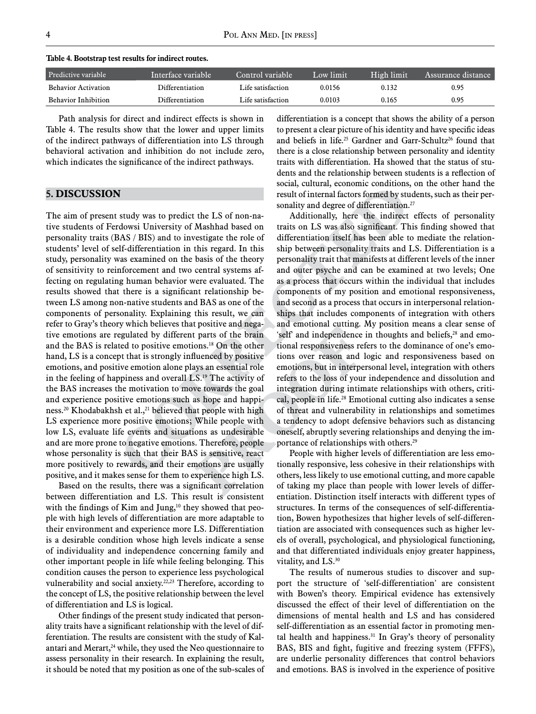| Table 4. Bootstrap test results for indirect routes. |  |
|------------------------------------------------------|--|
|------------------------------------------------------|--|

| Predictive variable        | Tuterface variable | Control variable  | Low limit | High limit | Assurance distance ' |
|----------------------------|--------------------|-------------------|-----------|------------|----------------------|
| <b>Behavior Activation</b> | Differentiation    | Life satisfaction | 0.0156    | 0.132      | 0.95                 |
| <b>Behavior Inhibition</b> | Differentiation    | Life satisfaction | 0.0103    | 0.165      | 0.95                 |

Path analysis for direct and indirect effects is shown in Table 4. The results show that the lower and upper limits of the indirect pathways of differentiation into LS through behavioral activation and inhibition do not include zero, which indicates the significance of the indirect pathways.

# **5. DISCUSSION**

The aim of present study was to predict the LS of non-native students of Ferdowsi University of Mashhad based on personality traits (BAS / BIS) and to investigate the role of students' level of self-differentiation in this regard. In this study, personality was examined on the basis of the theory of sensitivity to reinforcement and two central systems affecting on regulating human behavior were evaluated. The results showed that there is a significant relationship between LS among non-native students and BAS as one of the components of personality. Explaining this result, we can refer to Gray's theory which believes that positive and negative emotions are regulated by different parts of the brain and the BAS is related to positive emotions.18 On the other hand, LS is a concept that is strongly influenced by positive emotions, and positive emotion alone plays an essential role in the feeling of happiness and overall LS.19 The activity of the BAS increases the motivation to move towards the goal and experience positive emotions such as hope and happiness.<sup>20</sup> Khodabakhsh et al.,<sup>21</sup> believed that people with high LS experience more positive emotions; While people with low LS, evaluate life events and situations as undesirable and are more prone to negative emotions. Therefore, people whose personality is such that their BAS is sensitive, react more positively to rewards, and their emotions are usually positive, and it makes sense for them to experience high LS.

Based on the results, there was a significant correlation between differentiation and LS. This result is consistent with the findings of Kim and Jung,<sup>10</sup> they showed that people with high levels of differentiation are more adaptable to their environment and experience more LS. Differentiation is a desirable condition whose high levels indicate a sense of individuality and independence concerning family and other important people in life while feeling belonging. This condition causes the person to experience less psychological vulnerability and social anxiety.<sup>22,23</sup> Therefore, according to the concept of LS, the positive relationship between the level of differentiation and LS is logical.

Other findings of the present study indicated that personality traits have a significant relationship with the level of differentiation. The results are consistent with the study of Kalantari and Merart, $24$  while, they used the Neo questionnaire to assess personality in their research. In explaining the result, it should be noted that my position as one of the sub-scales of differentiation is a concept that shows the ability of a person to present a clear picture of his identity and have specific ideas and beliefs in life.<sup>25</sup> Gardner and Garr-Schultz<sup>26</sup> found that there is a close relationship between personality and identity traits with differentiation. Ha showed that the status of students and the relationship between students is a reflection of social, cultural, economic conditions, on the other hand the result of internal factors formed by students, such as their personality and degree of differentiation.<sup>27</sup>

Additionally, here the indirect effects of personality traits on LS was also significant. This finding showed that differentiation itself has been able to mediate the relationship between personality traits and LS. Differentiation is a personality trait that manifests at different levels of the inner and outer psyche and can be examined at two levels; One as a process that occurs within the individual that includes components of my position and emotional responsiveness, and second as a process that occurs in interpersonal relationships that includes components of integration with others and emotional cutting. My position means a clear sense of 'self' and independence in thoughts and beliefs,<sup>28</sup> and emotional responsiveness refers to the dominance of one's emotions over reason and logic and responsiveness based on emotions, but in interpersonal level, integration with others refers to the loss of your independence and dissolution and integration during intimate relationships with others, critical, people in life.28 Emotional cutting also indicates a sense of threat and vulnerability in relationships and sometimes a tendency to adopt defensive behaviors such as distancing oneself, abruptly severing relationships and denying the importance of relationships with others.<sup>29</sup>

People with higher levels of differentiation are less emotionally responsive, less cohesive in their relationships with others, less likely to use emotional cutting, and more capable of taking my place than people with lower levels of differentiation. Distinction itself interacts with different types of structures. In terms of the consequences of self-differentiation, Bowen hypothesizes that higher levels of self-differentiation are associated with consequences such as higher levels of overall, psychological, and physiological functioning, and that differentiated individuals enjoy greater happiness, vitality, and LS.<sup>30</sup>

The results of numerous studies to discover and support the structure of 'self-differentiation' are consistent with Bowen's theory. Empirical evidence has extensively discussed the effect of their level of differentiation on the dimensions of mental health and LS and has considered self-differentiation as an essential factor in promoting mental health and happiness.<sup>31</sup> In Gray's theory of personality BAS, BIS and fight, fugitive and freezing system (FFFS), are underlie personality differences that control behaviors and emotions. BAS is involved in the experience of positive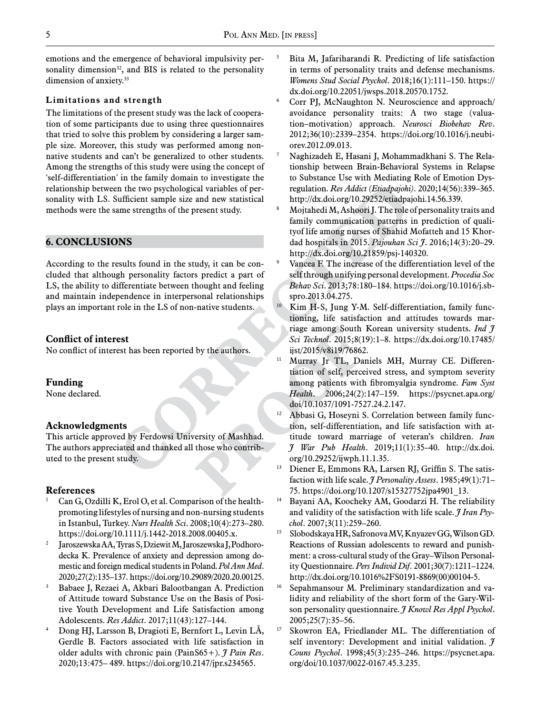emotions and the emergence of behavioral impulsivity personality dimension<sup>32</sup>, and BIS is related to the personality dimension of anxiety.<sup>33</sup>

## **Limitations and strength**

The limitations of the present study was the lack of cooperation of some participants due to using three questionnaires that tried to solve this problem by considering a larger sample size. Moreover, this study was performed among nonnative students and can't be generalized to other students. Among the strengths of this study were using the concept of 'self-differentiation' in the family domain to investigate the relationship between the two psychological variables of personality with LS. Sufficient sample size and new statistical methods were the same strengths of the present study.

## **6. CONCLUSIONS**

According to the results found in the study, it can be concluded that although personality factors predict a part of LS, the ability to differentiate between thought and feeling and maintain independence in interpersonal relationships plays an important role in the LS of non-native students.

#### **Conflict of interest**

No conflict of interest has been reported by the authors.

#### **Funding**

None declared.

#### **Acknowledgments**

This article approved by Ferdowsi University of Mashhad. The authors appreciated and thanked all those who contributed to the present study.

# **References**

- Can G, Ozdilli K, Erol O, et al. Comparison of the healthpromoting lifestyles of nursing and non‐nursing students in Istanbul, Turkey. *Nurs Health Sci*. 2008;10(4):273–280. https://doi.org/10.1111/j.1442-2018.2008.00405.x.
- <sup>2</sup> Jaroszewska AA, Tyras S, Dziewit M, Jaroszewska J, Podhorodecka K. Prevalence of anxiety and depression among domestic and foreign medical students in Poland. *Pol Ann Med*. 2020;27(2):135–137. https://doi.org/10.29089/2020.20.00125.
- <sup>3</sup> Babaee J, Rezaei A, Akbari Balootbangan A. Prediction of Attitude toward Substance Use on the Basis of Positive Youth Development and Life Satisfaction among Adolescents. *Res Addict*. 2017;11(43):127–144.
- <sup>4</sup> Dong HJ, Larsson B, Dragioti E, Bernfort L, Levin LÅ, Gerdle B. Factors associated with life satisfaction in older adults with chronic pain (PainS65+). *J Pain Res*. 2020;13:475– 489. https://doi.org/10.2147/jpr.s234565.
- Bita M, Jafariharandi R. Predicting of life satisfaction in terms of personality traits and defense mechanisms. *Womens Stud Social Psychol*. 2018;16(1):111–150. https:// dx.doi.org/10.22051/jwsps.2018.20570.1752.
- <sup>6</sup> Corr PJ, McNaughton N. Neuroscience and approach/ avoidance personality traits: A two stage (valuation–motivation) approach. *Neurosci Biobehav Rev*. 2012;36(10):2339–2354. https://doi.org/10.1016/j.neubiorev.2012.09.013.
- Naghizadeh E, Hasani J, Mohammadkhani S. The Relationship between Brain-Behavioral Systems in Relapse to Substance Use with Mediating Role of Emotion Dysregulation. *Res Addict (Etiadpajohi)*. 2020;14(56):339–365. http://dx.doi.org/10.29252/etiadpajohi.14.56.339.
- <sup>8</sup> Mojtahedi M, Ashoori J. The role of personality traits and family communication patterns in prediction of qualityof life among nurses of Shahid Mofatteh and 15 Khordad hospitals in 2015. *Pajouhan Sci J*. 2016;14(3):20–29. http://dx.doi.org/10.21859/psj-140320.
- <sup>9</sup> Vancea F. The increase of the differentiation level of the self through unifying personal development. *Procedia Soc Behav Sci*. 2013;78:180–184. https://doi.org/10.1016/j.sbspro.2013.04.275.
- <sup>10</sup> Kim H-S, Jung Y-M. Self-differentiation, family functioning, life satisfaction and attitudes towards marriage among South Korean university students. *Ind J Sci Technol*. 2015;8(19):1–8. https://dx.doi.org/10.17485/ ijst/2015/v8i19/76862.
- <sup>11</sup> Murray Jr TL, Daniels MH, Murray CE. Differentiation of self, perceived stress, and symptom severity among patients with fibromyalgia syndrome. *Fam Syst Health*. 2006;24(2):147–159. https://psycnet.apa.org/ doi/10.1037/1091-7527.24.2.147.
- Abbasi G, Hoseyni S. Correlation between family function, self-differentiation, and life satisfaction with attitude toward marriage of veteran's children. *Iran J War Pub Health*. 2019;11(1):35–40. http://dx.doi. org/10.29252/ijwph.11.1.35.
- <sup>13</sup> Diener E, Emmons RA, Larsen RJ, Griffin S. The satisfaction with life scale. *J Personality Assess*. 1985;49(1):71– 75. https://doi.org/10.1207/s15327752jpa4901\_13.
- <sup>14</sup> Bayani AA, Koocheky AM, Goodarzi H. The reliability and validity of the satisfaction with life scale. *J Iran Psychol*. 2007;3(11):259–260.
- <sup>15</sup> Slobodskaya HR, Safronova MV, Knyazev GG, Wilson GD. Reactions of Russian adolescents to reward and punishment: a cross-cultural study of the Gray–Wilson Personality Questionnaire. *Pers Individ Dif*. 2001;30(7):1211–1224. http://dx.doi.org/10.1016%2FS0191-8869(00)00104-5.
- <sup>16</sup> Sepahmansour M. Preliminary standardization and validity and reliability of the short form of the Gary-Wilson personality questionnaire. *J Knowl Res Appl Psychol*. 2005;25(7):35–56.
- <sup>17</sup> Skowron EA, Friedlander ML. The differentiation of self inventory: Development and initial validation. *J Couns Psychol*. 1998;45(3):235–246. https://psycnet.apa. org/doi/10.1037/0022-0167.45.3.235.